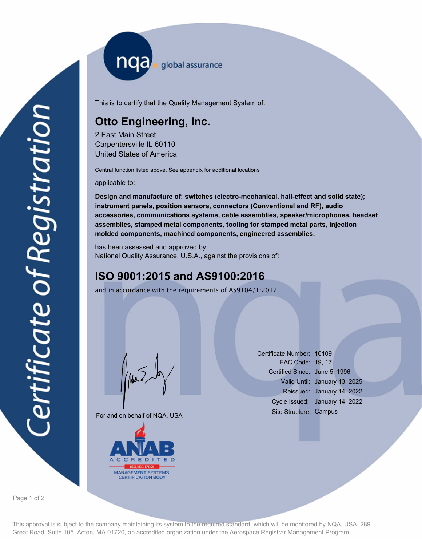nqa <sub>slobal assurance</sub>

This is to certify that the Quality Management System of:

## **Otto Engineering, Inc.**

2 East Main Street Carpentersville IL 60110 United States of America

Central function listed above. See appendix for additional locations

applicable to:

**Design and manufacture of: switches (electro-mechanical, hall-effect and solid state); instrument panels, position sensors, connectors (Conventional and RF), audio accessories, communications systems, cable assemblies, speaker/microphones, headset assemblies, stamped metal components, tooling for stamped metal parts, injection molded components, machined components, engineered assemblies.**

has been assessed and approved by National Quality Assurance, U.S.A., against the provisions of:

## **ISO 9001:2015 and AS9100:2016**

and in accordance with the requirements of AS9104/1:2012.

Mus

For and on behalf of NQA, USA



Certificate Number: 10109 EAC Code: 19, 17 Certified Since: June 5, 1996 Valid Until: January 13, 2025 Reissued: January 14, 2022 Cycle Issued: January 14, 2022 Site Structure: Campus

Page 1 of 2

This approval is subject to the company maintaining its system to the required standard, which will be monitored by NQA, USA, 289 Great Road, Suite 105, Acton, MA 01720, an accredited organization under the Aerospace Registrar Management Program.